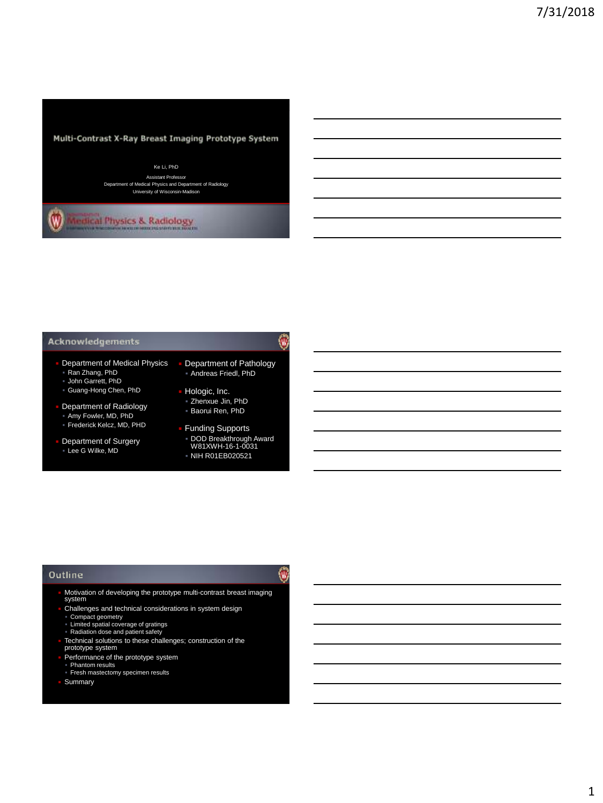

### Ke Li, PhD

Assistant Professor Department of Medical Physics and Department of Radiology University of Wisconsin-Madison

 $\overline{\mathbf{w}}$ **Indical Physics & Radiology** 

#### **Acknowledgements**

- Department of Medical Physics Ran Zhang, PhD
- John Garrett, PhD Guang-Hong Chen, PhD
- Department of Radiology Amy Fowler, MD, PhD
- Frederick Kelcz, MD, PHD
- **Department of Surgery** Lee G Wilke, MD

# ۷

働

- Department of Pathology Andreas Friedl, PhD
- Hologic, Inc. Zhenxue Jin, PhD Baorui Ren, PhD
- **Funding Supports**
- DOD Breakthrough Award W81XWH-16-1-0031
- NIH R01EB020521

#### Outline

- Motivation of developing the prototype multi-contrast breast imaging system
- **Challenges and technical considerations in system design**
- Compact geometry Limited spatial coverage of gratings Radiation dose and patient safety
- 
- Technical solutions to these challenges; construction of the prototype system
- Performance of the prototype system Phantom results
- Fresh mastectomy specimen results

Summary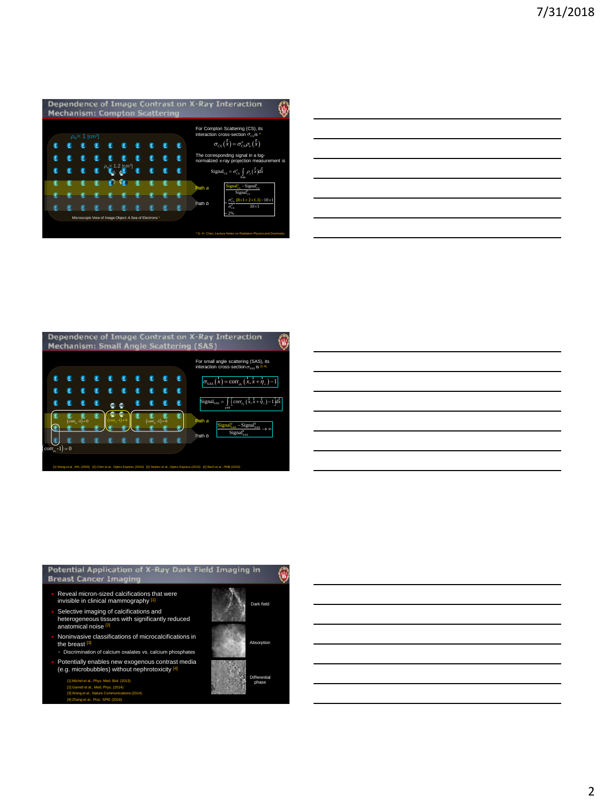| For Compton Scattering (CS), its<br>interaction cross-section $\sigma_{cs}$ is *<br>$\sigma_{\text{CS}}(\overset{\Gamma}{x}) = \sigma_{\text{CS}}^e \rho_{\text{e}}(\overset{\Gamma}{x})$<br>The corresponding signal in a log- |                                                                                                                                                                                                                                                                                |  |
|---------------------------------------------------------------------------------------------------------------------------------------------------------------------------------------------------------------------------------|--------------------------------------------------------------------------------------------------------------------------------------------------------------------------------------------------------------------------------------------------------------------------------|--|
|                                                                                                                                                                                                                                 |                                                                                                                                                                                                                                                                                |  |
| Pulle<br>$Sigma_{CS}^{\circ}$ - Signal <sup>b</sup> <sub>CS</sub><br>Path a<br>$Signal^b_{cs}$                                                                                                                                  |                                                                                                                                                                                                                                                                                |  |
| Path b<br>$= 2\%$                                                                                                                                                                                                               |                                                                                                                                                                                                                                                                                |  |
| * G.-H. Chen, Lecture Notes on Radiation Physics and Dosimetry                                                                                                                                                                  |                                                                                                                                                                                                                                                                                |  |
|                                                                                                                                                                                                                                 | Dependence of Image Contrast on X-Ray Interaction<br>normalized x-ray projection measurement is<br>Signal <sub>cs</sub> = $\sigma_{cs}^e$ $\int \rho_e(x)dx$<br>$=\frac{\sigma_{\rm{ex}}^*}{\sigma_{\rm{cs}}^*} \frac{(8 \times 1 + 2 \times 1.1) - 10 \times 1}{10 \times 1}$ |  |

| -Ray Interaction<br>O<br>For Compton Scattering (CS), its<br>interaction cross-section $\sigma_{cs}$ is<br>$\sigma_{\scriptscriptstyle{\mathsf{CS}}}\left(\overset{\Gamma}{x}\right)=\sigma_{\scriptscriptstyle{\mathsf{CS}}}^{\scriptscriptstyle{\mathsf{c}}} \rho_{\scriptscriptstyle{\mathsf{c}}}\left(\overset{\Gamma}{x}\right)$<br>The corresponding signal in a log-<br>normalized x-ray projection measurement is<br>$\text{Signal}_{\text{CS}} = \sigma_{\text{CS}}^{\text{e}} \int\limits_{\text{Path}} \rho_{\text{e}}\left(\boldsymbol{\bar{x}}\right) \boldsymbol{dx}$<br>$\text{mal}_{cs}^o - \text{Signal}_{cs}^b$<br>Path a<br>$Signal^b_{cs}$ |  |
|----------------------------------------------------------------------------------------------------------------------------------------------------------------------------------------------------------------------------------------------------------------------------------------------------------------------------------------------------------------------------------------------------------------------------------------------------------------------------------------------------------------------------------------------------------------------------------------------------------------------------------------------------------------|--|
|                                                                                                                                                                                                                                                                                                                                                                                                                                                                                                                                                                                                                                                                |  |
|                                                                                                                                                                                                                                                                                                                                                                                                                                                                                                                                                                                                                                                                |  |
|                                                                                                                                                                                                                                                                                                                                                                                                                                                                                                                                                                                                                                                                |  |
|                                                                                                                                                                                                                                                                                                                                                                                                                                                                                                                                                                                                                                                                |  |
|                                                                                                                                                                                                                                                                                                                                                                                                                                                                                                                                                                                                                                                                |  |
|                                                                                                                                                                                                                                                                                                                                                                                                                                                                                                                                                                                                                                                                |  |
| $=\frac{\sigma_{cs}^s (8 \times 1 + 2 \times 1.1) - 10 \times 1}{\sigma_{cs}^s}$<br>Path b<br>$= 2%$                                                                                                                                                                                                                                                                                                                                                                                                                                                                                                                                                           |  |
| <sup>*</sup> G.-H. Chen, <i>Lecture Notes on Radiation Physics and Dos</i>                                                                                                                                                                                                                                                                                                                                                                                                                                                                                                                                                                                     |  |
|                                                                                                                                                                                                                                                                                                                                                                                                                                                                                                                                                                                                                                                                |  |
|                                                                                                                                                                                                                                                                                                                                                                                                                                                                                                                                                                                                                                                                |  |
|                                                                                                                                                                                                                                                                                                                                                                                                                                                                                                                                                                                                                                                                |  |
| Ray Interaction<br>O<br><b>SAS</b>                                                                                                                                                                                                                                                                                                                                                                                                                                                                                                                                                                                                                             |  |
| For small angle scattering (SAS), its<br>interaction cross-section $\sigma_{_{\rm SAS}}$ is $^{\rm [1-4]}$                                                                                                                                                                                                                                                                                                                                                                                                                                                                                                                                                     |  |
| $\sigma_{\text{SAS}}\left(\overline{x}\right) = \text{corr}_{\rho_{\text{e}}}\left(\overline{x}, \overline{x} + \overline{\eta}_{\perp}\right) - 1$                                                                                                                                                                                                                                                                                                                                                                                                                                                                                                            |  |
| $\boxed{\text{Signal}_{\text{SAS}}} =$<br>$\int \left[ \operatorname{corr}_{\rho_{\rm c}}\left( \overline{x},\overline{x}+\overline{\eta}_{\perp}\right) -1 \right] dx$                                                                                                                                                                                                                                                                                                                                                                                                                                                                                        |  |
| $Signal_{SAS}^a - Signal_{SAS}^b$<br>$\rightarrow \infty$<br>$Sigma_{SAS}^b$<br>Path b                                                                                                                                                                                                                                                                                                                                                                                                                                                                                                                                                                         |  |



| -Ray Interaction<br>0                                                                                                                                         |  |  |
|---------------------------------------------------------------------------------------------------------------------------------------------------------------|--|--|
| For Compton Scattering (CS), its<br>interaction cross-section $\sigma_{\rm cs}$ is                                                                            |  |  |
| $\sigma_{\text{cs}}(\overset{\Gamma}{x}) = \sigma_{\text{cs}}^{\text{e}} \rho_{\text{e}}(\overset{\Gamma}{x})$                                                |  |  |
| The corresponding signal in a log-<br>normalized x-ray projection measurement is                                                                              |  |  |
| $\text{Signal}_{\text{cs}} = \sigma_{\text{cs}}^e \int\limits_{\text{Path}} \rho_e \left(\boldsymbol{\bar{x}}\right) \boldsymbol{dx}$                         |  |  |
| $\mathbf{Signal}^s_{\mathrm{cs}} - \mathbf{Signal}^s_{\mathrm{cs}}$<br>$Sigma_{cs}^b$                                                                         |  |  |
| $\frac{\sigma_{cs}^{e}}{2(8 \times 1 + 2 \times 1.1) - 10 \times 1}$<br>$10\times1$<br>$\overline{\sigma_{\scriptscriptstyle \rm GS}^{\scriptscriptstyle c}}$ |  |  |
| $= 2%$                                                                                                                                                        |  |  |
| G.-H. Chen, Lecture Notes on Radiation Physics and D                                                                                                          |  |  |
|                                                                                                                                                               |  |  |
|                                                                                                                                                               |  |  |
|                                                                                                                                                               |  |  |
|                                                                                                                                                               |  |  |
|                                                                                                                                                               |  |  |
|                                                                                                                                                               |  |  |
|                                                                                                                                                               |  |  |
| Ray Interaction<br>Ü                                                                                                                                          |  |  |
|                                                                                                                                                               |  |  |
| For small angle scattering (SAS), its<br>interaction cross-section $\sigma_{\scriptscriptstyle\rm SAS}$ is [1-4]                                              |  |  |
| $\sigma_{\text{SAS}}\left(\substack{\text{r}\\x}\right) = \text{corr}_{\rho_{\text{e}}}\left(\substack{\text{r}\\x,\text{r}+\eta_{\perp}}\right) - 1$         |  |  |
| Signal <sub>sAS</sub> = $\int \left[ \operatorname{corr}_{\rho_{\alpha}} \left( x, x + \eta_{\perp} \right) - 1 \right] dx$                                   |  |  |
|                                                                                                                                                               |  |  |
| $\frac{\text{Signal}_{SAS}^e - \text{Signal}_{SAS}^b}{\text{ signal}_{SAS}}$ $\rightarrow \infty$                                                             |  |  |
| $Sigma_{SAS}^b$                                                                                                                                               |  |  |
|                                                                                                                                                               |  |  |
| 10) [4] Bech et al., PMB (2010)                                                                                                                               |  |  |
|                                                                                                                                                               |  |  |
|                                                                                                                                                               |  |  |

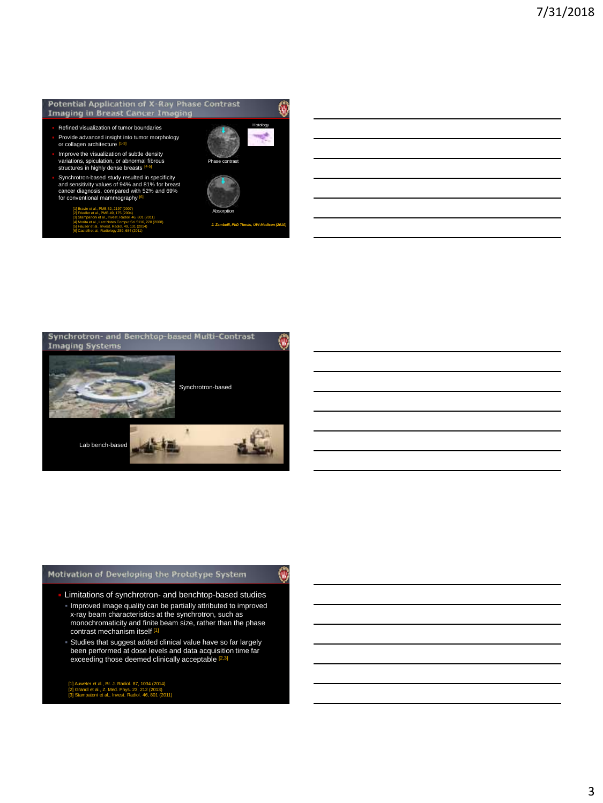#### Potential Application of X-Ray Phase Contrast **Imaging in Breast Cancer Imaging**

- Refined visualization of tumor boundaries
- Provide advanced insight into tumor morphology or collagen architecture
- Improve the visualization of subtle density variations, spiculation, or abnormal fibrous structures in highly dense breasts [4-5]
- Synchrotron-based study resulted in specificity<br>and sensitivity values of 94% and 81% for breast<br>cancer diagnosis, compared with 52% and 69%<br>for conventional mammography  $\frac{161}{2}$ 
	- [1] Bravin et al., PMB 52, 2197 (2007) [2] Friedler et al., PMB 49, 175 (2004) [3] Stampanoni et al., Invest. Radiol. 46, 801 (2011) [4] Morita et al., Lect Notes Comput Sci 5116, 228 (2008) [5] Hauser et al., Invest. Radiol. 49, 131 (2014) [6] Castelli et al., Radiology 259, 684 (2011)



*J. Zambelli, PhD Thesis, UW-Madison (2010)*

Histology

W

W)



### Motivation of Developing the Prototype System

- Limitations of synchrotron- and benchtop-based studies
- Improved image quality can be partially attributed to improved x-ray beam characteristics at the synchrotron, such as monochromaticity and finite beam size, rather than the phase<br>contrast mechanism itself <sup>[1]</sup>
- Studies that suggest added clinical value have so far largely been performed at dose levels and data acquisition time far exceeding those deemed clinically acceptable [2,3]

[1] Auweter et al., Br. J. Radiol. 87, 1034 (2014) [2] Grandl et al., Z. Med. Phys. 23, 212 (2013) [3] Stampatoni et al., Invest. Radiol. 46, 801 (2011)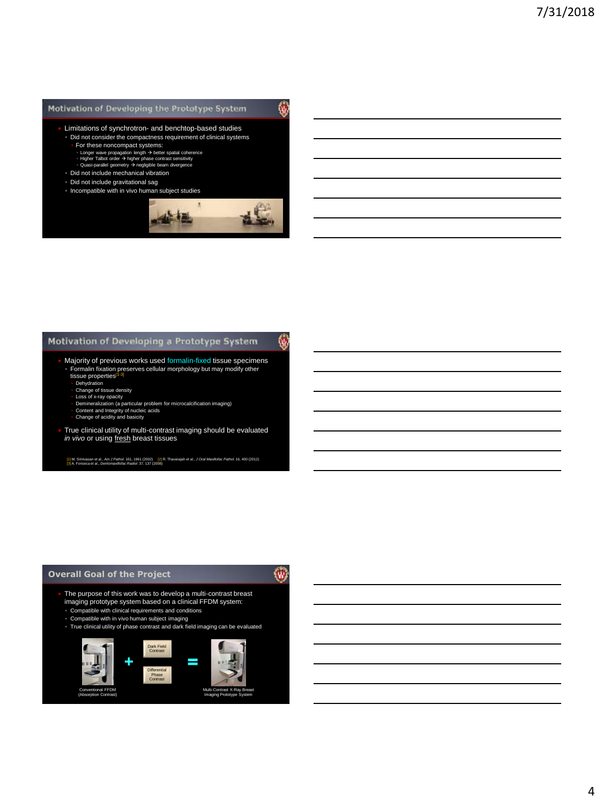### Motivation of Developing the Prototype System

W

- Limitations of synchrotron- and benchtop-based studies Did not consider the compactness requirement of clinical systems
	-
	-
	- **For these noncompact systems:**<br>• Longer wave propagation length → better spatial coherence<br>• Higher Talbot order → higher phase contrast sensitivity<br>• Quasi-parallel geometry → negligible beam divergence
- Did not include mechanical vibration
- Did not include gravitational sag
- Incompatible with in vivo human subject studies



### Motivation of Developing a Prototype System

- Majority of previous works used formalin-fixed tissue specimens Formalin fixation preserves cellular morphology but may modify other tissue properties<sup>[1</sup>
	- **Dehydration**
	- Change of tissue density
	- Loss of x-ray opacity<br>▪ Demineralization (a particular problem for microcalcification imaging)
	-
	- Content and Integrity of nucleic acids Change of acidity and basicity
- True clinical utility of multi-contrast imaging should be evaluated *in vivo* or using fresh breast tissues

[1] M. Srinivasan et al., *Am J Pathol*. 161, 1961 (2002) [2] R. Thavarajah et al., *J Oral Maxillofac Pathol*. 16, 400 (2012) [3] A. Fonseca et al., *Dentomaxillofac Radiol*. 37, 137 (2008)

#### **Overall Goal of the Project**

働

Ŵ

- The purpose of this work was to develop a multi-contrast breast imaging prototype system based on a clinical FFDM system:
- Compatible with clinical requirements and conditions
- Compatible with in vivo human subject imaging
- True clinical utility of phase contrast and dark field imaging can be evaluated

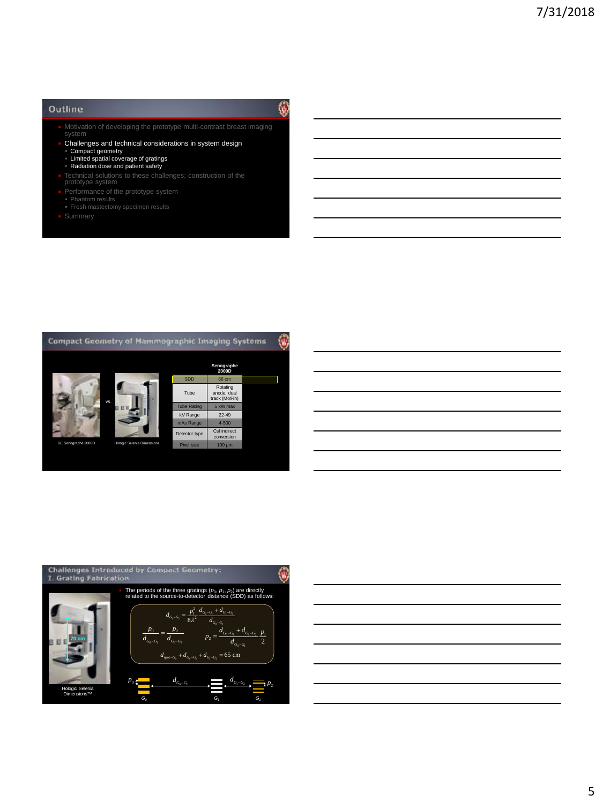#### Outline

- **Notivation of developing the prototype multi-contrast breast imaging** system
- Challenges and technical considerations in system design
- 
- Compact geometry Limited spatial coverage of gratings Radiation dose and patient safety
- 
- **EXECO FIGURE 1** Technical solutions to these challenges; construction of the prototype system
- 
- Phantom results Fresh mastectomy specimen results
- 





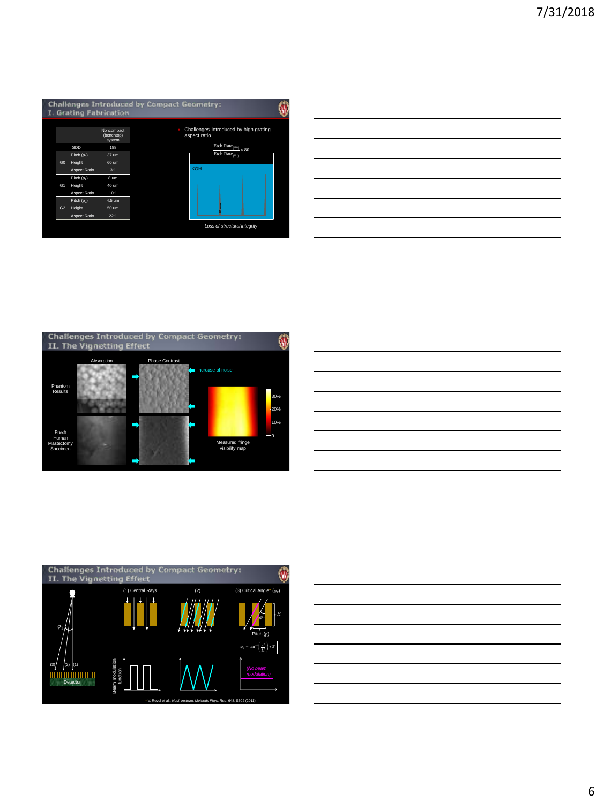

| w                                                        |  |  |
|----------------------------------------------------------|--|--|
| ntroduced by high grating                                |  |  |
| Etch Rate $_{(110)}$ $\approx 80$<br>Etch Rate $_{(11)}$ |  |  |
|                                                          |  |  |
|                                                          |  |  |
|                                                          |  |  |
| of structural integrity                                  |  |  |







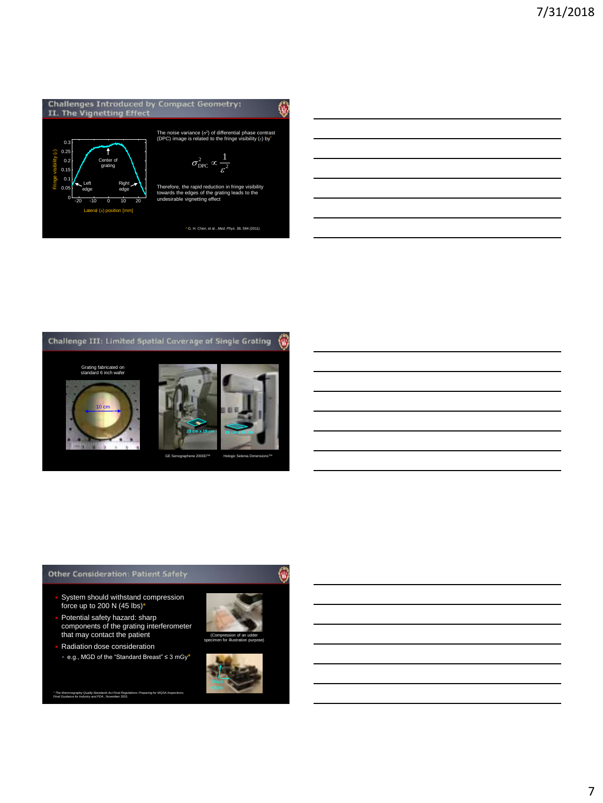



### **Other Consideration: Patient Safety**

- System should withstand compression force up to 200 N (45 lbs)\*
- Potential safety hazard: sharp components of the grating interferometer that may contact the patient
- Radiation dose consideration e.g., MGD of the "Standard Breast" ≤ 3 mGy\*

\* *The Mammography Quality Standards Act Final Regulations: Preparing for MQSA Inspections; Final Guidance for Industry and FDA* , November 2001



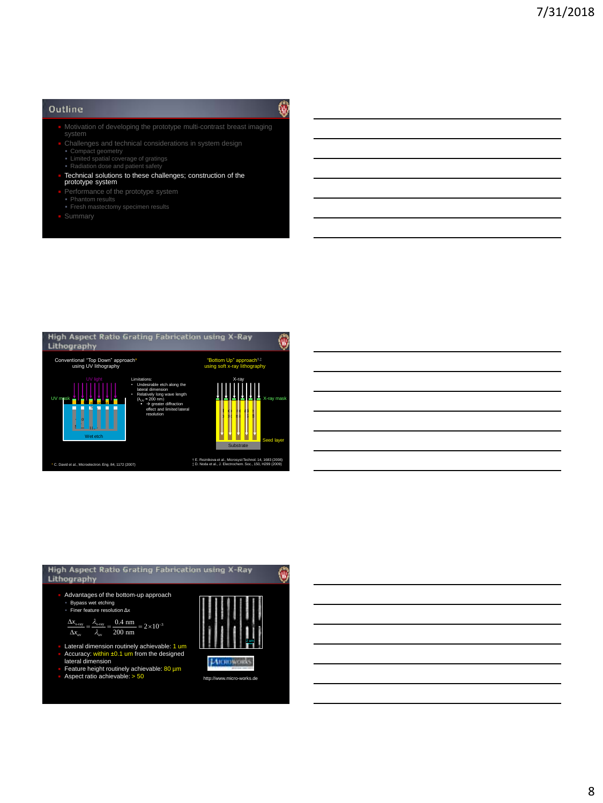#### Outline

- $\blacksquare$  Motivation of developing the prototype multi-contrast breast imaging
- **Challenges and technical considerations in system design**
- 
- Compact geometry Limited spatial coverage of gratings Radiation dose and patient safety
- Technical solutions to these challenges; construction of the prototype system
- 
- 
- Phantom results Fresh mastectomy specimen results
- 



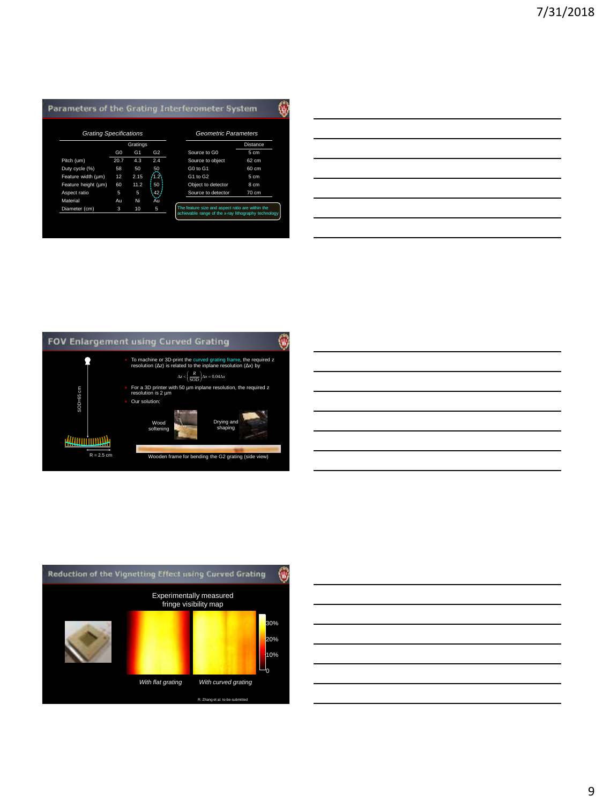## Parameters of the Grating Interferometer System

| <b>Grating Specifications</b> |                |                |       | <b>Geometric Parameters</b>                                                                              |                 |
|-------------------------------|----------------|----------------|-------|----------------------------------------------------------------------------------------------------------|-----------------|
|                               |                | Gratings       |       |                                                                                                          | Distance        |
|                               | G <sub>0</sub> | G <sub>1</sub> | G2    | Source to GO                                                                                             | 5 cm            |
| Pitch (um)                    | 20.7           | 4.3            | 2.4   | Source to object                                                                                         | 62 cm           |
| Duty cycle (%)                | 58             | 50             | 50    | G0 to G1                                                                                                 | 60 cm           |
| Feature width (um)            | 12             | 2.15           | 42    | G1 to G2                                                                                                 | 5 cm            |
| Feature height (um)           | 60             | 11.2           | 50    | Object to detector                                                                                       | 8 cm            |
| Aspect ratio                  | 5              | 5              | ,42 j | Source to detector                                                                                       | $70 \text{ cm}$ |
| Material                      | Au             | Ni             | Au    |                                                                                                          |                 |
| Diameter (cm)                 | 3              | 10             | 5     | The feature size and aspect ratio are within the<br>achievable range of the x-ray lithography technology |                 |

| Pitch (um)          | 20.7 | 4.3           | 2.4                     | Source to object                                                                                                                                 | 62 cm |
|---------------------|------|---------------|-------------------------|--------------------------------------------------------------------------------------------------------------------------------------------------|-------|
| Duty cycle (%)      | 58   | 50            | $\sqrt{\frac{50}{1.2}}$ | G0 to G1                                                                                                                                         | 60 cm |
| Feature width (µm)  | 12   | 2.15          |                         | G1 to G2                                                                                                                                         | 5 cm  |
| Feature height (um) | 60   | 11.2          | 50 <sup>1</sup>         | Object to detector                                                                                                                               | 8 cm  |
| Aspect ratio        | 5    | 5             | $\frac{42}{3}$          | Source to detector                                                                                                                               | 70 cm |
| Material            | Au   | Ni            | Au                      |                                                                                                                                                  |       |
| Diameter (cm)       | 3    | 10            | 5                       | The feature size and aspect ratio are within the                                                                                                 |       |
|                     |      |               |                         | achievable range of the x-ray lithography technology                                                                                             |       |
|                     |      |               |                         |                                                                                                                                                  |       |
|                     |      |               |                         |                                                                                                                                                  |       |
|                     |      |               |                         |                                                                                                                                                  |       |
|                     |      |               |                         |                                                                                                                                                  |       |
|                     |      |               |                         |                                                                                                                                                  |       |
|                     |      |               |                         |                                                                                                                                                  |       |
|                     |      |               |                         |                                                                                                                                                  |       |
|                     |      |               |                         |                                                                                                                                                  |       |
|                     |      |               |                         |                                                                                                                                                  |       |
|                     |      |               |                         |                                                                                                                                                  |       |
|                     |      |               |                         |                                                                                                                                                  |       |
|                     |      |               |                         |                                                                                                                                                  |       |
|                     |      |               |                         |                                                                                                                                                  |       |
|                     |      |               |                         |                                                                                                                                                  |       |
|                     |      |               |                         |                                                                                                                                                  |       |
|                     |      |               |                         | FOV Enlargement using Curved Grating                                                                                                             |       |
|                     |      |               |                         |                                                                                                                                                  |       |
|                     |      |               |                         | To machine or 3D-print the curved grating frame, the required z resolution ( $\Delta z$ ) is related to the inplane resolution ( $\Delta x$ ) by |       |
|                     |      |               |                         |                                                                                                                                                  |       |
|                     |      |               |                         | $\Delta z < \left(\frac{R}{\text{SOD}}\right) \Delta x = 0.04 \Delta x$                                                                          |       |
|                     |      |               |                         | For a 3D printer with 50 um inplane resolution, the required z                                                                                   |       |
| $SOD = 65$ cm       |      |               | resolution is 2 um      |                                                                                                                                                  |       |
|                     |      | Our solution: |                         |                                                                                                                                                  |       |
|                     |      |               |                         |                                                                                                                                                  |       |
|                     |      |               |                         |                                                                                                                                                  |       |
|                     |      |               | Wood                    | Drying and                                                                                                                                       |       |
|                     |      |               | softening               | shaping                                                                                                                                          |       |
| HAANIIIIIIIIIAA     |      |               |                         |                                                                                                                                                  |       |
|                     |      |               |                         |                                                                                                                                                  |       |
| $R = 2.5$ cm        |      |               |                         | Wooden frame for bending the G2 grating (side view)                                                                                              |       |
|                     |      |               |                         |                                                                                                                                                  |       |
|                     |      |               |                         |                                                                                                                                                  |       |



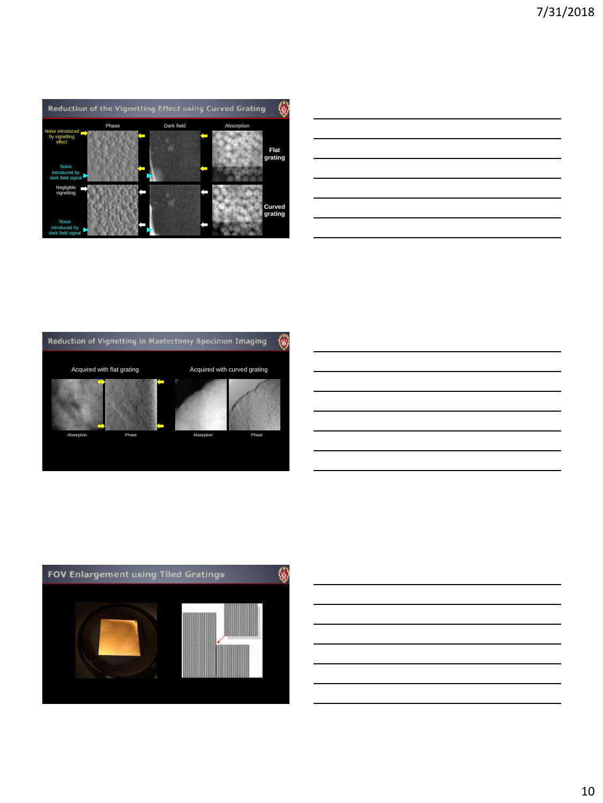

| <u> 1989 - Johann Barn, mars ann an t-Amhainn an t-Amhainn an t-Amhainn an t-Amhainn an t-Amhainn an t-Amhainn an</u> |  |  |
|-----------------------------------------------------------------------------------------------------------------------|--|--|
| <u> 1989 - Johann Barn, mars ann an t-Amhainn an t-Amhainn an t-Amhainn an t-Amhainn an t-Amhainn an t-Amhainn an</u> |  |  |
| <u> 1989 - Johann Stoff, deutscher Stoffen und der Stoffen und der Stoffen und der Stoffen und der Stoffen und de</u> |  |  |
| <u> 1989 - Andrea Andrea Andrea Andrea Andrea Andrea Andrea Andrea Andrea Andrea Andrea Andrea Andrea Andrea And</u>  |  |  |
| <u> 1989 - Johann Stoff, deutscher Stoff, der Stoff, der Stoff, der Stoff, der Stoff, der Stoff, der Stoff, der S</u> |  |  |
| <u> 1989 - Johann Barbara, martxa alemaniar argamento este alemaniar alemaniar alemaniar alemaniar alemaniar al</u>   |  |  |
|                                                                                                                       |  |  |







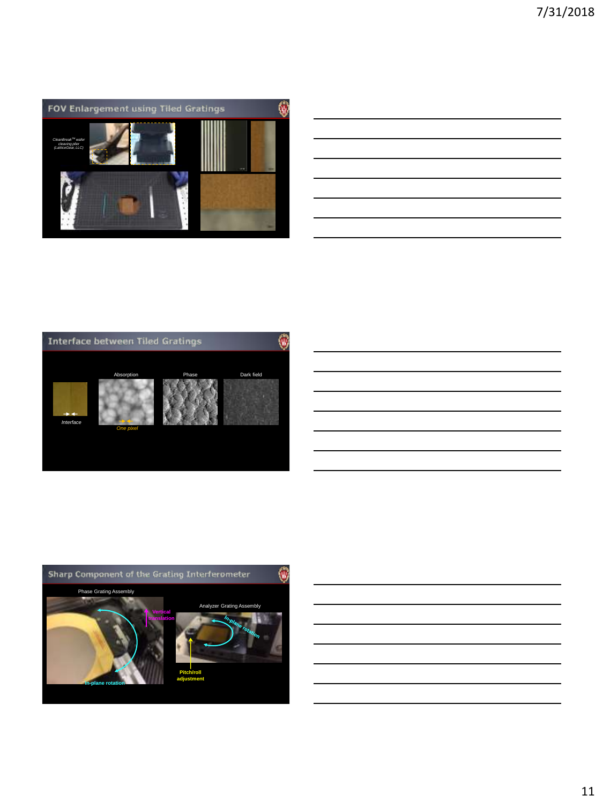

| <u> 1989 - Andrea Santa Andrea Andrea Andrea Andrea Andrea Andrea Andrea Andrea Andrea Andrea Andrea Andrea Andr</u>                                                                                                          |  |  |
|-------------------------------------------------------------------------------------------------------------------------------------------------------------------------------------------------------------------------------|--|--|
| the control of the control of the control of the control of the control of the control of the control of the control of the control of the control of the control of the control of the control of the control of the control |  |  |
| <u> 1989 - Johann Stoff, deutscher Stoff, der Stoff, der Stoff, der Stoff, der Stoff, der Stoff, der Stoff, der S</u>                                                                                                         |  |  |
| <u> 1989 - Johann Barn, mars ann an t-Amhainn an t-Amhainn an t-Amhainn an t-Amhainn an t-Amhainn an t-Amhainn an</u>                                                                                                         |  |  |
| <u> 1989 - Johann Stoff, amerikansk politiker (d. 1989)</u>                                                                                                                                                                   |  |  |
| <u> 1989 - Johann Stoff, deutscher Stoff, der Stoff, der Stoff, der Stoff, der Stoff, der Stoff, der Stoff, der S</u>                                                                                                         |  |  |
|                                                                                                                                                                                                                               |  |  |



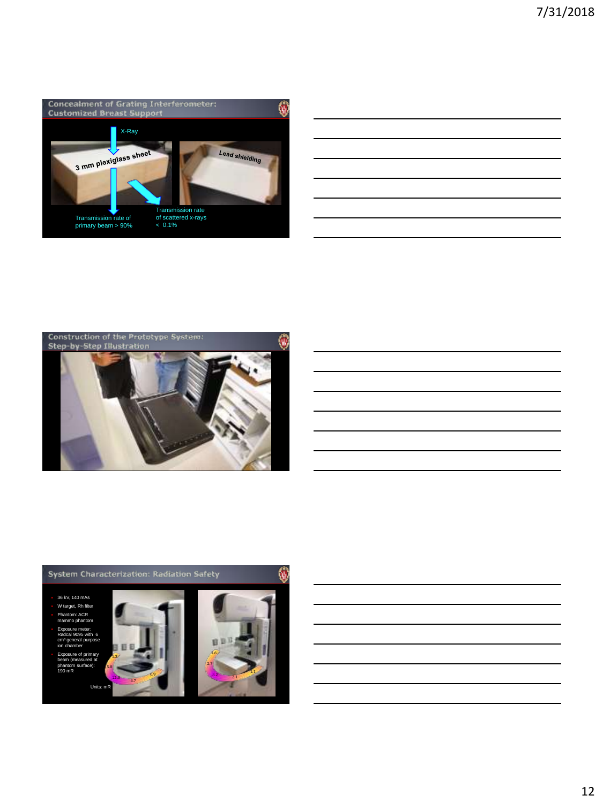





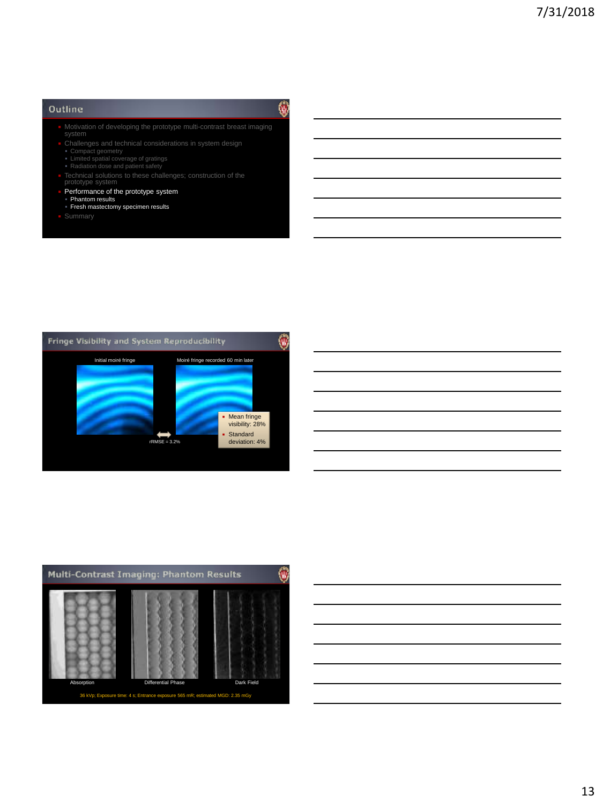### Outline

- **Notivation of developing the prototype multi-contrast breast imaging** system
- 
- 
- Compact geometry Limited spatial coverage of gratings Radiation dose and patient safety
- ptype sy
- Performance of the prototype system
- Phantom results Fresh mastectomy specimen results
- 
- 





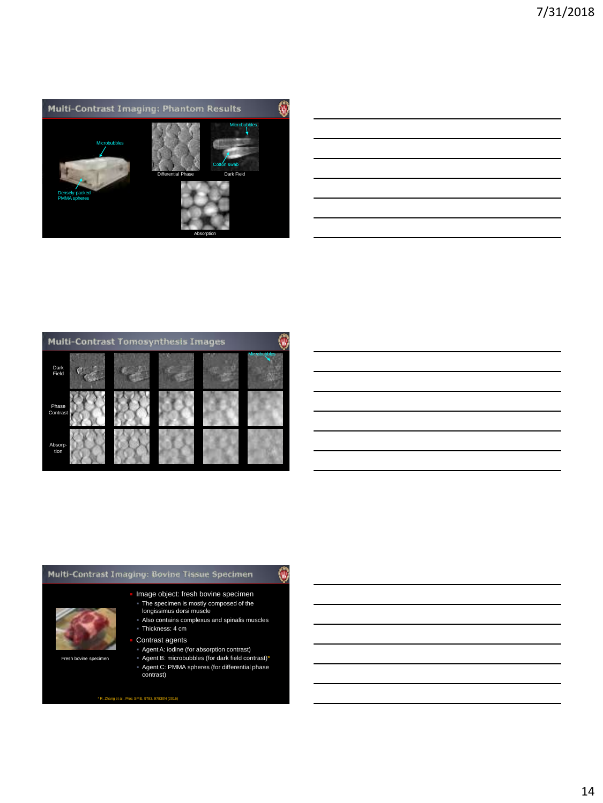



#### Multi-Contrast Imaging: Bovine Tissue Specimen

# 0



Fresh bovine specimen

 Also contains complexus and spinalis muscles Thickness: 4 cm

 Image object: fresh bovine specimen The specimen is mostly composed of the longissimus dorsi muscle

- Contrast agents
- Agent A: iodine (for absorption contrast)
- Agent B: microbubbles (for dark field contrast)\* Agent C: PMMA spheres (for differential phase contrast)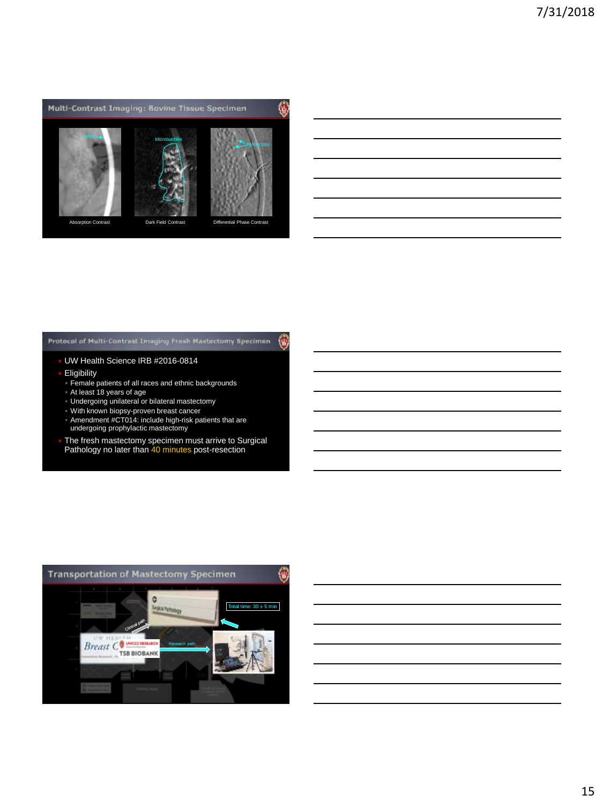

#### Protocol of Multi-Contrast Imaging Fresh Mastectomy Specimum 仞

#### UW Health Science IRB #2016-0814

- **Eligibility**
- Female patients of all races and ethnic backgrounds
- At least 18 years of age
- Undergoing unilateral or bilateral mastectomy
- With known biopsy-proven breast cancer
- Amendment #CT014: include high-risk patients that are undergoing prophylactic mastectomy
- **The fresh mastectomy specimen must arrive to Surgical Pathology no later than 40 minutes post-resection**

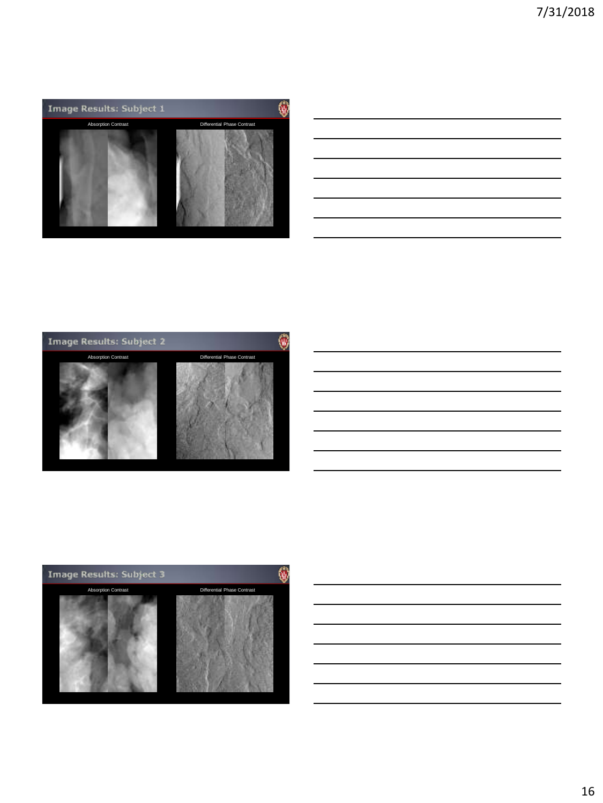





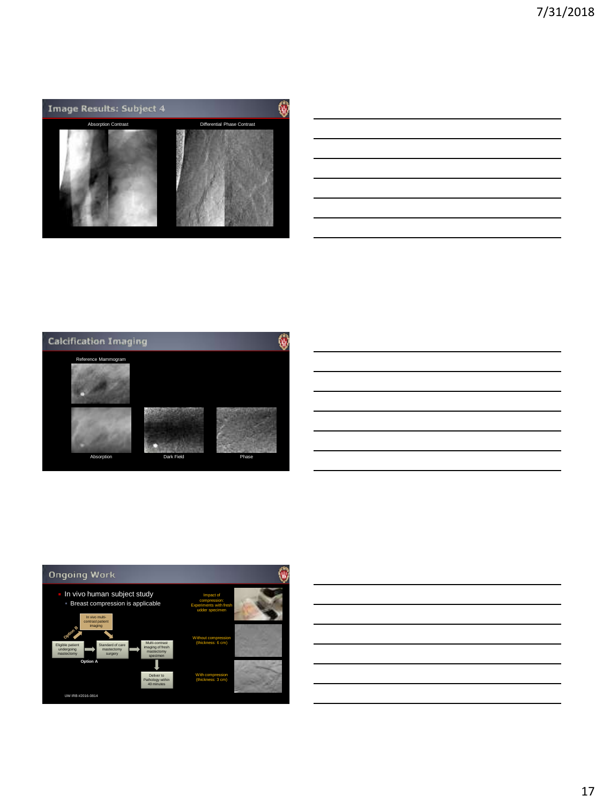







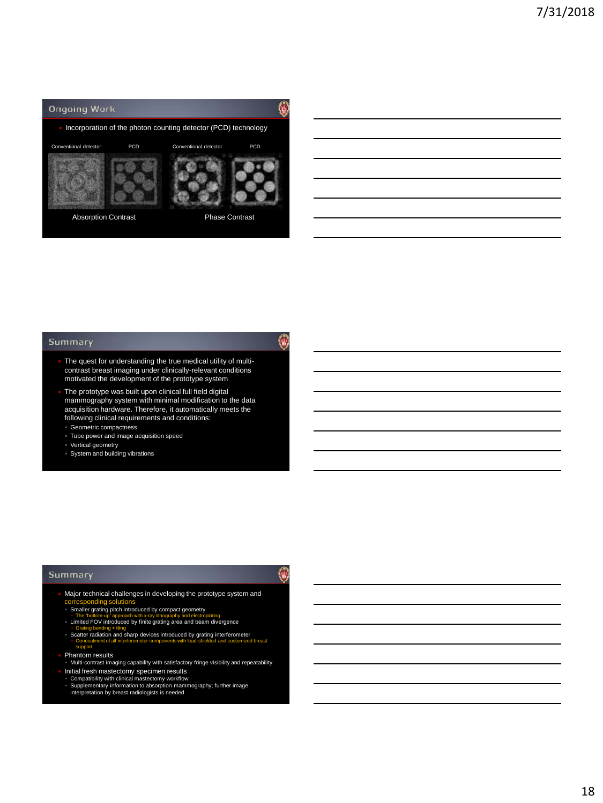

#### Summary

 The quest for understanding the true medical utility of multicontrast breast imaging under clinically-relevant conditions motivated the development of the prototype system

۷

仞

- The prototype was built upon clinical full field digital mammography system with minimal modification to the data acquisition hardware. Therefore, it automatically meets the following clinical requirements and conditions:
- Geometric compactness
- Tube power and image acquisition speed
- 
- Vertical geometry System and building vibrations

#### Summary

- Major technical challenges in developing the prototype system and corresponding solutions Smaller grating pitch introduced by compact geometry
	-
	- The "bottom-up" approach with x-ray lithography and electroplating Limited FOV introduced by finite grating area and beam divergence
	- **Stating bending + tiling**<br>
	Scatter radiation and sharp devices introduced by grating interferometer ▪ Concealment of all interferometer components with lead-shielded and customized breast support
- Phantom results
- Multi-contrast imaging capability with satisfactory fringe visibility and repeatability Initial fresh mastectomy specimen results Compatibility with clinical mastectomy workflow Supplementary information to absorption mammography; further image
- - interpretation by breast radiologists is needed